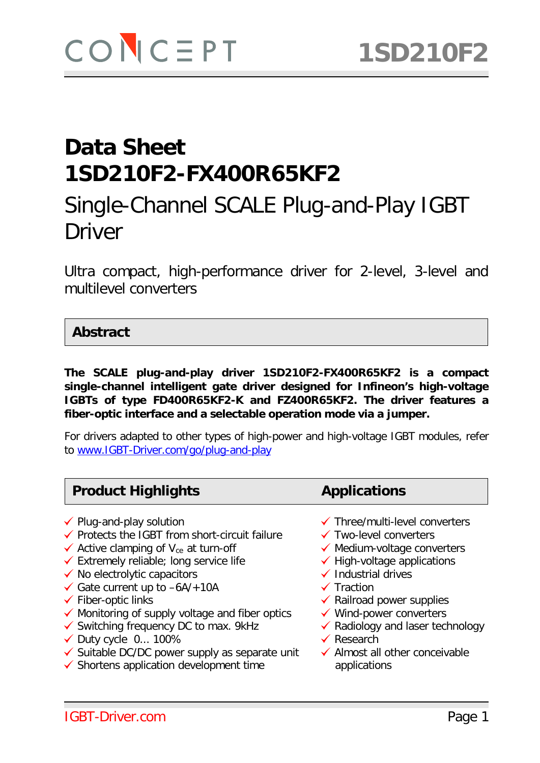# Single-Channel SCALE Plug-and-Play IGBT Driver

Ultra compact, high-performance driver for 2-level, 3-level and multilevel converters

#### **Abstract**

**The SCALE plug-and-play driver 1SD210F2-FX400R65KF2 is a compact single-channel intelligent gate driver designed for Infineon's high-voltage IGBTs of type FD400R65KF2-K and FZ400R65KF2. The driver features a fiber-optic interface and a selectable operation mode via a jumper.**

For drivers adapted to other types of high-power and high-voltage IGBT modules, refer to [www.IGBT-Driver.com/go/plug-and-play](http://www.igbt-driver.com/go/plug-and-play)

#### **Product Highlights <b>Applications**

- 
- $\checkmark$  Protects the IGBT from short-circuit failure  $\checkmark$  Two-level converters
- 
- $\checkmark$  Active clamping of V<sub>ce</sub> at turn-off  $\checkmark$  Medium-voltage converters  $\checkmark$  Extremely reliable; long service life  $\checkmark$  High-voltage applications  $\checkmark$  Extremely reliable; long service life
- $\checkmark$  No electrolytic capacitors  $\checkmark$  Industrial drives
- $\checkmark$  Gate current up to  $-6A/+10A$   $\checkmark$  Traction
- 
- $\checkmark$  Monitoring of supply voltage and fiber optics  $\checkmark$  Wind-power converters
- ◆ Monitoring of supply voltage and liber optics → Monito-power converters<br>→ Switching frequency DC to max. 9kHz → Aadiology and laser technology Duty cycle 0... 100% Research
- 
- $\checkmark$  Duty cycle 0... 100%<br>  $\checkmark$  Suitable DC/DC power supply as separate unit  $\checkmark$  Almost all other conceivable
- $\checkmark$  Shortens application development time applications
- $\checkmark$  Plug-and-play solution  $\checkmark$  Three/multi-level converters
	-
	-
	-
	-
	-
- $\checkmark$  Fiber-optic links  $\checkmark$  Railroad power supplies
	-
	-
	-
	-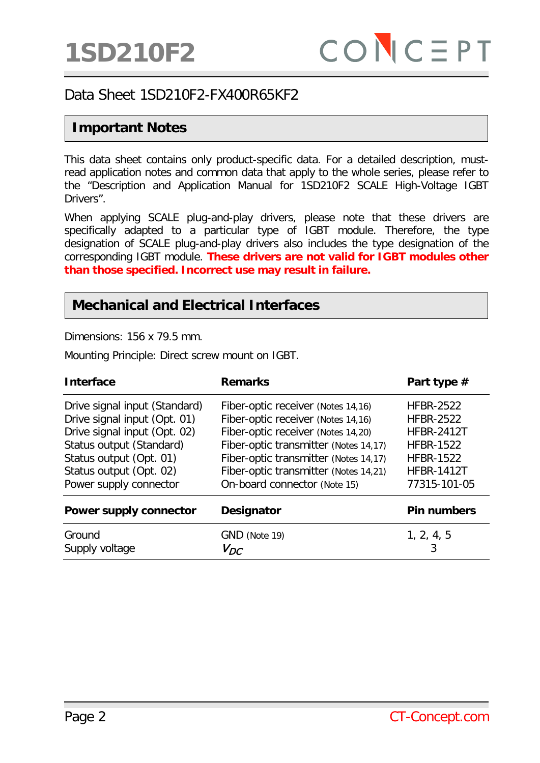#### **Important Notes**

This data sheet contains only product-specific data. For a detailed description, mustread application notes and common data that apply to the whole series, please refer to the "Description and Application Manual for 1SD210F2 SCALE High-Voltage IGBT Drivers".

When applying SCALE plug-and-play drivers, please note that these drivers are specifically adapted to a particular type of IGBT module. Therefore, the type designation of SCALE plug-and-play drivers also includes the type designation of the corresponding IGBT module. **These drivers are not valid for IGBT modules other than those specified. Incorrect use may result in failure.**

#### **Mechanical and Electrical Interfaces**

Dimensions: 156 x 79.5 mm.

Mounting Principle: Direct screw mount on IGBT.

| <b>Interface</b>                                                                                                                                                                                          | <b>Remarks</b>                                                                                                                                                                                                                                                            | Part type #                                                                                                                            |
|-----------------------------------------------------------------------------------------------------------------------------------------------------------------------------------------------------------|---------------------------------------------------------------------------------------------------------------------------------------------------------------------------------------------------------------------------------------------------------------------------|----------------------------------------------------------------------------------------------------------------------------------------|
| Drive signal input (Standard)<br>Drive signal input (Opt. 01)<br>Drive signal input (Opt. 02)<br>Status output (Standard)<br>Status output (Opt. 01)<br>Status output (Opt. 02)<br>Power supply connector | Fiber-optic receiver (Notes 14,16)<br>Fiber-optic receiver (Notes 14,16)<br>Fiber-optic receiver (Notes 14,20)<br>Fiber-optic transmitter (Notes 14,17)<br>Fiber-optic transmitter (Notes 14,17)<br>Fiber-optic transmitter (Notes 14,21)<br>On-board connector (Note 15) | <b>HFBR-2522</b><br><b>HFBR-2522</b><br><b>HFBR-2412T</b><br><b>HFBR-1522</b><br><b>HFBR-1522</b><br><b>HFBR-1412T</b><br>77315-101-05 |
| Power supply connector<br>Ground<br>Supply voltage                                                                                                                                                        | Designator<br>GND (Note 19)<br>$V_{DC}$                                                                                                                                                                                                                                   | <b>Pin numbers</b><br>1, 2, 4, 5                                                                                                       |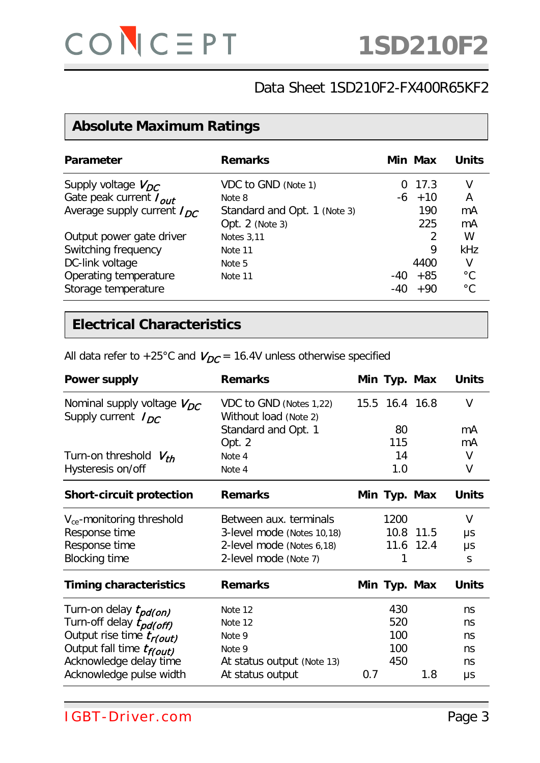## **Absolute Maximum Ratings**

| <b>Parameter</b>                | <b>Remarks</b>               |     | Min Max | Units        |
|---------------------------------|------------------------------|-----|---------|--------------|
| Supply voltage $V_{DC}$         | VDC to GND (Note 1)          |     | 0, 17.3 | V            |
| Gate peak current $I_{out}$     | Note 8                       | -6  | $+10$   | A            |
| Average supply current $I_{DC}$ | Standard and Opt. 1 (Note 3) |     | 190     | mA           |
|                                 | Opt. 2 (Note 3)              |     | 225     | mA           |
| Output power gate driver        | <b>Notes 3,11</b>            |     |         | W            |
| Switching frequency             | Note 11                      |     | 9       | kHz          |
| DC-link voltage                 | Note 5                       |     | 4400    | V            |
| Operating temperature           | Note 11                      | -40 | $+85$   | $^{\circ}C$  |
| Storage temperature             |                              | -40 | $+90$   | $^{\circ}$ C |

## **Electrical Characteristics**

| All data refer to +25°C and $V_{DC}$ = 16.4V unless otherwise specified |  |  |
|-------------------------------------------------------------------------|--|--|
|-------------------------------------------------------------------------|--|--|

| <b>Power supply</b>                                        | <b>Remarks</b>                                   |     | Min Typ. Max   |           | <b>Units</b> |
|------------------------------------------------------------|--------------------------------------------------|-----|----------------|-----------|--------------|
| Nominal supply voltage $V_{DC}$<br>Supply current $I_{DC}$ | VDC to GND (Notes 1,22)<br>Without load (Note 2) |     | 15.5 16.4 16.8 |           | $\vee$       |
|                                                            | Standard and Opt. 1                              |     | 80             |           | mA           |
|                                                            | Opt. 2                                           |     | 115            |           | mA           |
| Turn-on threshold $V_{th}$                                 | Note 4                                           |     | 14             |           | V            |
| Hysteresis on/off                                          | Note 4                                           |     | 1.0            |           | ۷            |
| <b>Short-circuit protection</b>                            | <b>Remarks</b>                                   |     | Min Typ. Max   |           | <b>Units</b> |
| $V_{ce}$ -monitoring threshold                             | Between aux. terminals                           |     | 1200           |           | V            |
| Response time                                              | 3-level mode (Notes 10,18)                       |     |                | 10.8 11.5 | μs           |
| Response time                                              | 2-level mode (Notes 6,18)                        |     |                | 11.6 12.4 | μs           |
| <b>Blocking time</b>                                       | 2-level mode (Note 7)                            |     |                |           | S            |
| <b>Timing characteristics</b>                              | <b>Remarks</b>                                   |     | Min Typ. Max   |           | <b>Units</b> |
| Turn-on delay t <sub>pd(on)</sub>                          | Note 12                                          |     | 430            |           | ns           |
| Turn-off delay tpd(off)                                    | Note 12                                          |     | 520            |           | ns           |
| Output rise time tr(out)                                   | Note 9                                           |     | 100            |           | ns           |
| Output fall time t <sub>f(out)</sub>                       | Note 9                                           |     | 100            |           | ns           |
| Acknowledge delay time                                     | At status output (Note 13)                       |     | 450            |           | ns           |
| Acknowledge pulse width                                    | At status output                                 | 0.7 |                | 1.8       | μs           |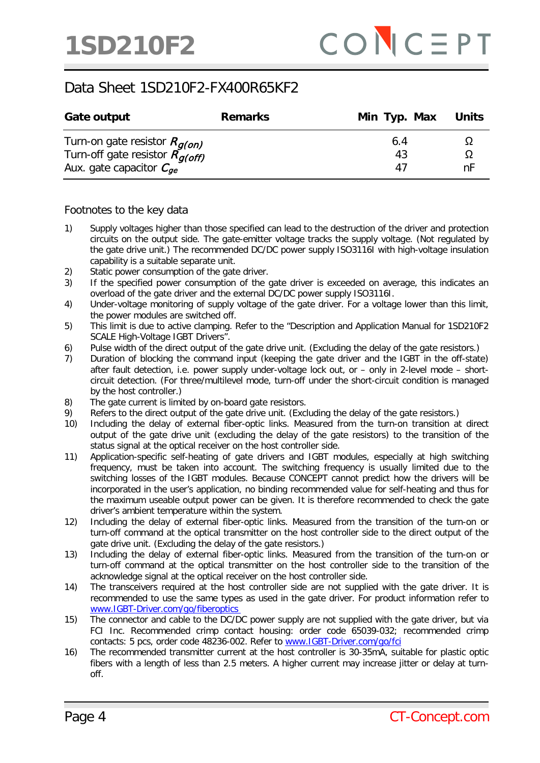| Gate output                                                                                              | <b>Remarks</b> | Min Typ. Max Units |    |
|----------------------------------------------------------------------------------------------------------|----------------|--------------------|----|
| Turn-on gate resistor $R_{g(on)}$<br>Turn-off gate resistor $R_{g(off)}$<br>Aux. gate capacitor $C_{ge}$ |                | 6.4<br>43<br>47    | nF |

#### Footnotes to the key data

- 1) Supply voltages higher than those specified can lead to the destruction of the driver and protection circuits on the output side. The gate-emitter voltage tracks the supply voltage. (Not regulated by the gate drive unit.) The recommended DC/DC power supply ISO3116I with high-voltage insulation capability is a suitable separate unit.
- 2) Static power consumption of the gate driver.
- 3) If the specified power consumption of the gate driver is exceeded on average, this indicates an overload of the gate driver and the external DC/DC power supply ISO3116I.
- 4) Under-voltage monitoring of supply voltage of the gate driver. For a voltage lower than this limit, the power modules are switched off.
- 5) This limit is due to active clamping. Refer to the "Description and Application Manual for 1SD210F2 SCALE High-Voltage IGBT Drivers".
- 6) Pulse width of the direct output of the gate drive unit. (Excluding the delay of the gate resistors.)
- 7) Duration of blocking the command input (keeping the gate driver and the IGBT in the off-state) after fault detection, i.e. power supply under-voltage lock out, or – only in 2-level mode – shortcircuit detection. (For three/multilevel mode, turn-off under the short-circuit condition is managed by the host controller.)
- 8) The gate current is limited by on-board gate resistors.
- 9) Refers to the direct output of the gate drive unit. (Excluding the delay of the gate resistors.)
- 10) Including the delay of external fiber-optic links. Measured from the turn-on transition at direct output of the gate drive unit (excluding the delay of the gate resistors) to the transition of the status signal at the optical receiver on the host controller side.
- 11) Application-specific self-heating of gate drivers and IGBT modules, especially at high switching frequency, must be taken into account. The switching frequency is usually limited due to the switching losses of the IGBT modules. Because CONCEPT cannot predict how the drivers will be incorporated in the user's application, no binding recommended value for self-heating and thus for the maximum useable output power can be given. It is therefore recommended to check the gate driver's ambient temperature within the system.
- 12) Including the delay of external fiber-optic links. Measured from the transition of the turn-on or turn-off command at the optical transmitter on the host controller side to the direct output of the gate drive unit. (Excluding the delay of the gate resistors.)
- 13) Including the delay of external fiber-optic links. Measured from the transition of the turn-on or turn-off command at the optical transmitter on the host controller side to the transition of the acknowledge signal at the optical receiver on the host controller side.
- 14) The transceivers required at the host controller side are not supplied with the gate driver. It is recommended to use the same types as used in the gate driver. For product information refer to [www.IGBT-Driver.com/go/fiberoptics](http://www.igbt-driver.com/go/fiberoptics)
- 15) The connector and cable to the DC/DC power supply are not supplied with the gate driver, but via FCI Inc. Recommended crimp contact housing: order code 65039-032; recommended crimp contacts: 5 pcs, order code 48236-002. Refer to [www.IGBT-Driver.com/go/fci](http://www.igbt-driver.com/go/fci)
- 16) The recommended transmitter current at the host controller is 30-35mA, suitable for plastic optic fibers with a length of less than 2.5 meters. A higher current may increase jitter or delay at turnoff.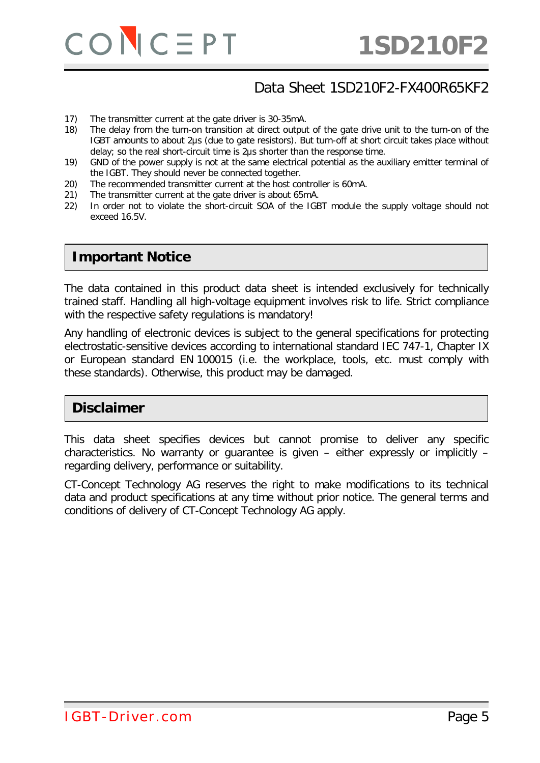

- 17) The transmitter current at the gate driver is 30-35mA.
- 18) The delay from the turn-on transition at direct output of the gate drive unit to the turn-on of the IGBT amounts to about 2μs (due to gate resistors). But turn-off at short circuit takes place without delay; so the real short-circuit time is 2μs shorter than the response time.
- 19) GND of the power supply is not at the same electrical potential as the auxiliary emitter terminal of the IGBT. They should never be connected together.
- 20) The recommended transmitter current at the host controller is 60mA.
- 21) The transmitter current at the gate driver is about 65mA.
- 22) In order not to violate the short-circuit SOA of the IGBT module the supply voltage should not exceed 16.5V.

#### **Important Notice**

The data contained in this product data sheet is intended exclusively for technically trained staff. Handling all high-voltage equipment involves risk to life. Strict compliance with the respective safety regulations is mandatory!

Any handling of electronic devices is subject to the general specifications for protecting electrostatic-sensitive devices according to international standard IEC 747-1, Chapter IX or European standard EN 100015 (i.e. the workplace, tools, etc. must comply with these standards). Otherwise, this product may be damaged.

#### **Disclaimer**

This data sheet specifies devices but cannot promise to deliver any specific characteristics. No warranty or guarantee is given – either expressly or implicitly – regarding delivery, performance or suitability.

CT-Concept Technology AG reserves the right to make modifications to its technical data and product specifications at any time without prior notice. The general terms and conditions of delivery of CT-Concept Technology AG apply.